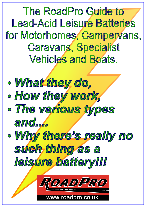The RoadPro Guide to Lead-Acid Leisure Batteries for Motorhomes, Campervans, Caravans, Specialist Vehicles and Boats.

- Ÿ*What they do,*
- Ÿ*How they work,*
- Ÿ*The various types and....*
- Ÿ*Why there's really no such thing as a leisure battery!!!*



.roadpro.co.uk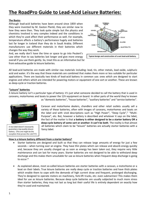# **The RoadPro Guide to Lead-Acid Leisure Batteries:**

#### **The Basics**

Although lead-acid batteries have been around since 1859 when they were invented by M. Gaston Planté, they are similar now to how they were then. They look quite simple but the physics and chemistry involved is very complex indeed and the conditions in which they're used affect their performance as well. For example, temperature affects a battery's performance hugely and batteries last far longer in Iceland than they do in Saudi Arabia. Different manufacturers use different materials in their batteries which changes the way they work.

And, we really don't have the time or space to go into Peukert's Law other than to say batteries last longer and give more energy overall if you use them gently. So, treat this as an informative but far from exhaustive guide to leisure batteries.



All lead-acid batteries are made with similar raw materials including: lead, tin, other metals, lead oxide, sulphuric acid and water. It's the way that these materials are combined that makes them more or less suitable for particular applications. There are basically two kinds of lead-acid battery in common use: ones which are designed to start engines and others which are intended for powering motors or equipment of one sort or another. These are known as deep-cycle or traction batteries.

#### **"Leisure" batteries**

A leisure battery isn't a particular type of battery: it's just what someone decided to call the battery that is used in caravans, motorhomes and boats to power the 12V equipment on board. In other parts of the world they're known



A nice label doesn't necessarily guarantee a top-quality leisure battery. (This one might be the exception that proves the rule!!!!!! as "domestic batteries", "house batteries", "auxiliary batteries" and "service batteries".

Caravan and motorhome dealers, chandlers and other retail outlets usually sell a variety of these batteries, often with images of caravans, motorhomes and boats on the label and with vivid descriptions such as "High Power", "Deep Cycle"," "Multi-Purpose", etc. But, however a battery is described and whatever it says on the label, the fact of the matter is that **a battery is either designed to be a starter battery OR a deep-cycle battery of some sort or another: it can't be both**. The reality is that almost all batteries which claim to be "leisure" batteries are actually starter batteries with a fancy label.

#### **How is a leisure battery different from a starter battery?**

- Starter batteries are designed and built so that they can release large amounts of energy for just a few seconds – when turning over an engine. They have thin plates which can release and absorb energy quickly and, because they are usually charged up as soon as energy has been taken out, they require very little maintenance and can last for many years. Starter batteries are not designed to be able to withstand deep discharge and this makes them unsuitable for use as leisure batteries when frequent deep discharge is going to occur.\*
- As explained above, most so-called leisure batteries are starter batteries with a caravan, a motorhome or a boat on their labels. True leisure batteries are really deep cycle or traction batteries and have thick plates which enable them to cope with the demands of high current draw and frequent, prolonged discharging. They're designed to operate motors on machinery, fork-lift trucks, etc: even submarines! This makes them ideal for use as leisure batteries. Because deep cycle batteries are usually subjected to much more stress than starter batteries, they may not last as long but their useful life is entirely dependent on exactly how they're used and maintained.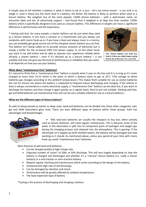A simple way to tell whether a battery is what it claims to be or is just – let's not mince words – a con trick is to weigh it. Lead is heavy but the more lead in a battery, the better the battery is likely to perform when used as a leisure battery. We weighed one of the most popular 110Ah leisure batteries – with a well-known name, an attractive label and lots of advertising support – and found that it weighed in at 5Kgs less than another 110Ah battery which is specifically designed to be used as a leisure battery. This difference in weight can mean a significant difference in performance and life expectancy.

\* Having said that, for many people, a starter battery can be just what they need as a leisure battery. If you have a caravan or a motorhome and you always use campsites with mains hook-up or if you have a boat and always moor in a marina, you can probably get good service out of the cheapest starter battery you can find. The battery isn't being called on to provide serious amounts of electricity but is simply a buffer for the on-board 230V-12V power supply. If, on the other hand, you want to be self-reliant and be able to operate your appliances reliably when off-grid, a starter battery – even if it's dressed up as a leisure battery – is not suitable and may not give you the kind of performance or reliability that you need. It all depends on how you use your battery.



**This "leisure battery" has much less lead in it than you might expect, going by the size of the case. It's a con trick**

#### **What about "maintenance-free" batteries?**

It's natural to think that a "maintenance-free" battery is exactly what it says on the box and it is as long as it's never charged at more than 14.1V which is the point at which a battery starts to gas at 25˚C. (The voltage at which batteries gas changes according to the ambient temperature.) This makes them suitable for use as starter batteries but not for leisure use where the battery is subjected to frequent heavy discharging and charging. If the vehicle or boat is always connected to a mains electricity supply, a "maintenance-free" battery can be ideal but, if you want to discharge the battery and then charge it again quickly on a regular basis, they're just not suitable. (Having said that, gel and AGM batteries are maintenance-free and can be very suitable indeed for use as a leisure battery.)

#### **What are the different types of leisure battery?**

As well as being classed as starter or deep cycle, lead-acid batteries can be divided into three other categories: wet, gel and AGM (absorbent glass mat). There are even different types of battery within these groups. Each has advantages and disadvantages.



 Wet lead-acid batteries are usually the cheapest to buy but, when actively used as leisure batteries, will need regular maintenance. This is because some of the water in the electrolyte is split into its component parts of hydrogen and oxygen gas during the charging process and released into the atmosphere. This is gassing. If the electrolyte isn't topped up (with distilled water), the battery will be damaged and stop working as it should. As mentioned above, unless you spend all your time with mains hook-up, avoid "maintenance-free" batteries.

Main features of wet lead-acid batteries:

- $\triangleright$  Can be charged quickly at high charge rate.
- Expected number of cycles\* of 200+ at 50% discharge. This will vary hugely depending on how the battery is charged and discharged and whether it's a "normal" leisure battery (i.e. really a starter battery) or a real traction or semi-traction battery.
- $\triangleright$  Require regular checking and maintenance which varies according to the design of the battery.
- $\triangleright$  Comparatively high rate of self-discharge.
- $\triangleright$  Can be damaged by vibration and shock.
- $\triangleright$  Performance will be greatly affected by ambient temperature.
- $\triangleright$  The least expensive type of battery.

\*Cycling is the process of discharging and charging a battery.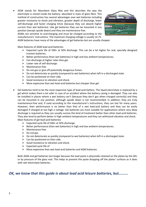AGM stands for Absorbent Glass Mat and this describes the way the electrolyte is stored inside the battery: absorbed in mats of glass fibre. This method of construction has several advantages over wet batteries including greater resistance to shock and vibration, greater depth of discharge, lower self-discharge and faster charging times (because they can absorb higher current than wet batteries). Like gel batteries they can be mounted in any position (except upside down) and they are maintenance free.



AGMs are sensitive to overcharging and must be charged according to the manufacturers' instructions. The maximum charging voltage is usually 14.7V.

AGM batteries have many of the advantages of gel batteries but are usually cheaper.

Main features of AGM lead-acid batteries:

- Expected cycle life of 500+ at 50% discharge. This can be a lot higher for real, specially designed traction batteries.
- $\triangleright$  Better performance (than wet batteries) in high and low ambient temperatures.
- $\triangleright$  Can discharge at higher rates than gel.
- $\triangleright$  Lower rate of self-discharge.
- $\triangleright$  Maintenance free.
- $\triangleright$  Do not gas or give off potentially dangerous fumes.
- $\triangleright$  Do not deteriorate as quickly (compared to wet batteries) when left in a discharged state.
- $\triangleright$  Can be positioned on their side.
- $\triangleright$  Good resistance to vibration and shock.
- $\triangleright$  More expensive than wet lead-acid batteries but cheaper than gel.
- Gel batteries tend to be the most expensive type of lead-acid battery. The liquid electrolyte is replaced by a gel which makes them a lot safer in case of an accident where the battery casing is damaged. They can also be installed in places where a wet battery can't (because they don't gas when charged correctly) and they can be mounted in any position, although upside down is not recommended. In addition, they are truly maintenance-free and, if used according to the manufacturer's instructions, they can last for many years. However, their performance is no better than that of a wet lead-acid battery and they can be easily damaged if charged at too high a voltage. Gel batteries are most suitable for applications where very deep discharge is required as they can usually survive this kind of treatment better than other lead-acid batteries. They also tend to perform better in high ambient temperatures and they can withstand vibration and shock. Main features of gel lead-acid batteries:
	- $\triangleright$  Expected cycle life of 500+ at 50% discharge.
	- $\triangleright$  Better performance (than wet batteries) in high and low ambient temperatures.
	- $\triangleright$  Maintenance free.
	- $\triangleright$  Do not gas.
	- $\triangleright$  Do not deteriorate as quickly (compared to wet batteries) when left in a discharged state.
	- $\triangleright$  Can be positioned on their side.
	- $\triangleright$  Good resistance to vibration and shock.
	- $\triangleright$  Expected cycle life of
	- $\triangleright$  More expensive than wet lead-acid batteries and AGM batteries.

Both AGM and gel batteries last longer because the lead paste is physically retained on the plates by the GEL or by pressure of the glass mat. This helps to prevent the paste dropping off the plates' surfaces as it does with wet electrolyte batteries.

### *OK, we know that this guide is about lead acid leisure batteries, but……….*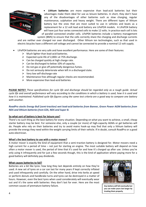

 **Lithium batteries** are more expensive than lead-acid batteries but their advantages make them ideal for use as leisure batteries. In short, they don't have any of the disadvantages of other batteries such as slow charging, regular maintenance, sulphation and heavy weight. There are different types of lithium battery but the ones that are most suited to use in vehicles and boats as a replacement for a 12 volt lead acid battery are LiFePO4 models. A LiFePO4 battery will have just four series connected cells to make 12 volts. In practice each cell is lots of parallel connected smaller cells. LiFeP04 batteries include a battery management

system (BMS) to ensure that the cells correctly share the charging and discharge currents

and are neither over charged nor over discharged. Other lithium ion technologies, such as that used in electric bicycles have a different cell voltage and cannot be connected to provide a nominal 12 volt supply.

- LiFePO4 batteries are very safe and have excellent performance. Here are some of their features:
	- $\triangleright$  Much lighter than lead-acid batteries.
	- Expected cycle life of 2,000+ at 75% discharge.
	- $\triangleright$  Can be charged quickly at high charge rate.
	- $\triangleright$  Can be discharged to below 10% of capacity.
	- $\triangleright$  Do not gas or give off potentially dangerous fumes.
	- $\triangleright$  Do not seriously deteriorate when left in a discharged state.
	- $\triangleright$  Very low self-discharge rate
	- $\triangleright$  Maintenance free although regular checks are recommended.
	- $\triangleright$  More expensive than lead-acid batteries

**PLEASE NOTE!!** *These specifications for cycle life and discharge should be regarded only as a rough guide. Actual cycle life and overall performance will vary according to the conditions in which a battery is used, how it is used and how it is maintained. Published cycle life figures using the same test criteria are a good way to compare one battery with another.*

#### *RoadPro stocks Energy Bull (semi-traction) wet lead-acid batteries from Banner, Green Power AGM batteries from NDS and lithium batteries from EZA, NDS and Super B.*

#### **So what sort of battery is best for leisure use?**

There's no such thing as the best battery for every situation. Depending on what you want to achieve, a small, cheap starter battery may be best. For someone else, only a couple (or more) of high-capacity AGMs or gel batteries will do. People who rely on their batteries and try to avoid mains hook-up may find that only a lithium battery will provide the energy they need within the weight carrying limits of their vehicle. If in doubt, consult RoadPro or a good auto-electrician.

#### **What's the best battery to use with a motor mover?**

A motor mover is exactly the kind of equipment that a semi-traction battery is designed for. Motor movers need a high current for a period of time – not just for starting an engine. The most suitable battery will depend on how often a motor mover is used, the period of time that it's used for and how it's charged up after use. Unless you're only using it infrequently and for just a few seconds though, this is the kind of application where paying more for a good battery will definitely pay dividends.

#### **What causes batteries to fail?**

Batteries are a bit like tyres: how long they last depends entirely on how they're used. A new set of tyres on a car can last for many years if kept correctly inflated and used infrequently and carefully. On the other hand, drive into kerbs at speed or perform donuts and handbrake turns and tyres can be destroyed in a matter of hours. However, even the best tyres when used considerately will eventually wear out and it's the same with batteries: they don't last for ever. Here are the most common causes of premature battery failure.



**Any battery will fail eventually but you can make yours last longer by treating them properly.**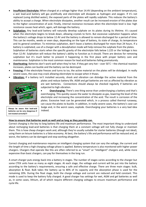- **Insufficient Electrolyte:** When charged at a voltage higher than 14.4V (depending on the ambient temperature), a wet lead-acid battery will gas prolifically and electrolyte will dissipate as hydrogen and oxygen. If it's not replaced (using distilled water), the exposed parts of the plates will rapidly sulphate. This reduces the battery's ability to accept a charge. When electrolyte dissipates, another result can be increased erosion of the plates due to the higher concentration of acid. Finally, internal resistance increases when the electrolyte level is low: high resistance causes heat which, again, will damage the battery.
- **Sulphation:** Any lead-acid battery will naturally develop sulphate on its plates during its lifetime. It's caused when the electrolyte begins to break down, allowing crystals to form. But excessive sulphation happens when the battery's voltage drops to below 12.4V and the battery is allowed to remain discharged for a period of time. This can be months, weeks or even days, depending on the type of battery, its state of charge, its temperature and its general condition. To minimize sulphation, don't leave a battery discharged for more than 24 hours. If a battery is sulphated, use of a charger with a desulphation mode will help remove the sulphate from the plates. Sulphation of batteries starts when the specific gravity of the electrolyte falls below 1.225 or the Voltage is less than 12.4V. Sulphation will reduce the battery's ability to function as it should. There are devices for removing sulphation but it's much better to prevent it happening in the first place with proper battery care and maintenance. Sulphation is the most common reason for lead acid batteries failing prematurely.
- **Overheating:** Batteries don't work well when they're hot. If they get very hot over 50˚C the chemical reaction increases, plates can buckle and the battery can be destroyed.
- **Freezing:** If the electrolyte freezes and turns to ice, the active material on the plates will be dislodged. In really severe cases, the case may crack allowing electrolyte to escape when it thaws.
- **Vibration:** If a battery isn't installed securely, shock and vibration can dislodge the active material from the



**Always be aware that lead-acid batteries can be very dangerous if not treated correctly!!!**

plates and reduce battery life. AGM and gel batteries are not as affected by vibration as are wet batteries. Connections should always be checked regularly if batteries are subjected to high vibration.

 **Overcharging:** There's one thing worse than undercharging a battery and that's overcharging. This quickly causes the water to dissipate as gas, lowering the level of the electrolyte and increasing the concentration of the acid. The result is corrosion of the plates. Excessive heat can be generated which, in a process called thermal runaway, can cause the plates to buckle. In addition, in really severe cases, the battery's case can bulge and, in the worst cases, explode. Overcharging your batteries is a very bad idea indeed.

#### **How to ensure that batteries work as well and as long as they possibly can.**

Correct charging is the key to long battery life and maximum performance. The most important thing to understand about recharging lead-acid batteries is that charging them at a constant voltage will not fully charge or maintain them. This is how cheap chargers work and, although they're usually suitable for starter batteries (though not ideal), using them on leisure batteries is a false economy. At best, the battery's life and performance will be reduced and, at worst, the battery can be damaged and stop working altogether.

Correct charging and maintenance requires an intelligent charging system that can vary the voltage, the current and the length of time a high charging voltage phase is applied. Battery temperature is also monitored with higher power chargers. Chargers that operate like this are often referred to as "smart" or "intelligent" chargers and, while more expensive than basic chargers, can pay for themselves in the long run.

A smart charger puts energy back into a battery in stages. The number of stages varies according to the charger but some CTEK units have as many as eight stages. At each stage, the voltage and current will be put into the battery according to the battery's requirements, ensuring a safe and effective charge. There are three main stages: bulk, absorption & float. Bulk takes the battery up to 80% of its capacity and the absorption phase is used for the remaining 20%. During the float stage, both the charge voltage and current are reduced and held constant. This mode is used to keep the battery fully charged. A good charger has settings for wet, AGM and gel batteries as well as, in some cases, lithium, all of which require different charging voltages to ensure maximum performance and cycle life.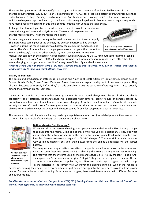There are European standards for specifying a charging regime and these are often identified by letters in the charger documentation. E.g. IUoU is a DIN-designation (DIN 41773) for a lead-acid battery *charging* procedure that is also known as 3-stage *charging*. This translates as I Constant current, U voltage limit 1, o the small current at which the charge voltage is reduced to, U the lower maintaining voltage limit 2. Modern smart chargers frequently have more phases of charge than this and also time limit the high voltage charging phase.

A charger that has multiple stages uses clever electronics to provide de-sulphation, reconditioning, soft start and analysis modes. These can all help to make the charger more efficient. The more modes the better!

Battery chargers are rated according to the maximum current that they can supply. The more Amps coming out of the charger, the quicker a battery will be charged. However, putting too much current into a battery too quickly can damage it so be careful! There's no firm rule here: some people say use a charger with no more than 10% of the battery's capacity, other people say 25%. Our advice is to read the



**A good quality mains charger will more than pay for itself over time.**

manual that comes with the charger. A good charger, such as a CTEK MXS-10 (10 Amp output) for example, can be used with batteries from 20Ah – 300Ah. If a charger is to be used for maintenance purposes only, rather than for actual charging, a charger rated at just 2A – 5A may be sufficient. Again, check the manual.

*RoadPro stocks 230V chargers from CTEK, NDS, Sterling Power and Votronic. They are all "smart" and they all work efficiently to maintain your batteries correctly.* 

#### **Battery guarantees:**

The design and production of batteries is (in Europe and America at least) extremely sophisticated. Brands such as Banner, Bosch, Exide, Green Power, Varta and Trojan have very stringent quality control processes in place. They also test batteries extensively before they're made available to buy. As such, manufacturing defects are, certainly among the premium brands, very rare.

It's natural to look for a battery with a good guarantee. But you should always read the small print and this is especially true of batteries. No manufacturer will guarantee their batteries against failure or damage caused by normal wear and tear, lack of maintenance or incorrect charging. As with tyres, a leisure battery's useful life depends entirely on how it's used. Use it frequently to power an inverter, don't bother to check the electrolyte levels and allow it to self-discharge over the winter and a battery can be fit only for scrap within a year or even less.

The simple fact is that, if you buy a battery made by a reputable manufacturer (not a label printer), the chances of a battery failing as a result of faulty design or manufacture is almost zero.



**A battery-to-battery charger will charge a leisure battery whenever the engine is running.**

#### **Battery charging "on the move":**

When we talk about battery charging, most people have in their mind a 230V battery charger that plugs into the mains. Using one of these while the vehicle is stationary is easy but what about when the vehicle or boat is on the move? For several years, RoadPro has supplied and installed "battery-to-battery chargers" or "DC-DC chargers". These work in exactly the same way as mains chargers but take their power from the engine's alternator via the starter battery.

You may wonder why a battery-to-battery charger is needed when most motorhomes and caravans come fitted with some means of charging the leisure battery when they're moving. The reality is that the systems used by most manufacturers are  $-$  to say the least  $-$  basic. And, for anyone who's serious about staying "off-grid" they can be completely useless. All the battery-to-battery chargers supplied by RoadPro are multi-stage chargers and will charge leisure batteries in the correct way whenever the engine's running. Even if the vehicle is

parked up, running the engine for a few minutes can put enough energy into the battery to provide all the power needed for several hours of wild camping. As with mains chargers, there are different models with different features and output ratings.

*RoadPro stocks battery-to-battery chargers from CTEK, NDS, Sterling Power and Votronic. They are all "smart" and they all work efficiently to maintain your batteries correctly.*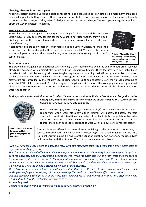#### **Charging a battery from a solar panel:**

Keeping a battery charged up using a solar panel sounds like a great idea but can actually do more harm than good by overcharging the battery. Some batteries are more susceptible to overcharging than others but even good quality batteries can be damaged if they weren't designed to be on constant charge. The solar panel's regulator will also affect the way the battery is charged.

#### **Keeping a starter battery charged:**

Starter batteries are designed to be charged by an engine's alternator and, because they usually have a fairly easy life, can last for many years. If not used though, they will selfdischarge and, for this reason, it's a good idea to check them on a regular basis and charge them if necessary.

Alternatively, fit a stand-by charger – often referred to as a Battery Master. As long as the leisure battery is being charged, either from a solar panel or a 240V charger, the Battery Master will pass current to the starter battery when necessary, ensuring that it doesn't self-discharge.



**A Battery Master like this will help to keep a starter battery charged as long as the leisure battery is on charge.**

#### **Smart Alternators:**

The problem of charging leisure batteries whilst driving is even more serious when the vehicle (boats are usually not affected) is equipped with a "smart alternator" and / or regenerative braking. These features have been introduced in order to help vehicles comply with ever tougher regulations concerning fuel efficiency and emission control. Unlike traditional alternators, which maintain a voltage of at least 13.8V whenever the engine's running, smart alternators are controlled by the vehicle's ECU (Engine Control Unit) and constantly vary the voltage according to what the ECU thinks is required. To cut a long and complicated story short, the voltage generated by a smart alternator can vary between 12.4V or less and 15.0V or more. At times, the ECU may tell the alternator to stop working altogether.

#### *So the problem with smart alternators is: when the alternator's output is 12.4V or less, it won't charge the starter battery and, in turn, the leisure battery. When the output is above 14.7V, AGM gel and lithium batteries can be seriously damaged.*

With these voltages, VSRs (Voltage Sensitive Relays) like those often fitted to VW campervans won't work efficiently either. Neither will battery-to-battery chargers designed to work with traditional alternators. In order to fully charge leisure batteries on motorhomes and caravans where a smart alternator is used, it's essential to use a charger that's been specifically designed to work with this new, very clever technology.

The people most affected by smart alternators failing to charge leisure batteries are, of course, motorhomers and caravanners. Reassuringly, the trade organisation the NCC (National Caravan Council) is aware of the situation but they don't offer any realistic advice on how to deal with the situation. They've put out a memo as follows:

#### *"The NCC has been made aware of a potential issue with cars fitted with start / stop technology, smart alternators or regenerative braking systems.*

*The alternator is switched off periodically during a journey to ensure that the battery is not receiving a charge from both the alternator and the regenerative braking system. When the alternator is in the "off" state then the feed to the refrigerator falls, which can lead to the refrigerator within the caravan being switched off. The refrigerator may not be turned back on when the alternator is reactivated. This can also be the case when the start / stop technology is activated as when the engine is stopped it will turn of the alternator.* 

*There have been reported instances of customers stating that the 12V system to the caravan from the car is not working as the fridge is not staying cold during travelling. This could be caused by the effect stated above.* 

*One solution when a car if fitted with the start / stop technology is to temporally turn off the start / stop technology, if this feature to turn this technology off is fitted to the car.*

#### *Actions Required:*

**Smart alternators are great for saving fuel but not so good at charging leisure** 

**batteries.**

*Dealers to be aware of this potential effect and to advise customers accordingly."*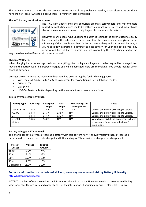The problem here is that most dealers are not only unaware of the problems caused by smart alternators but don't have the first idea of what to do about them. Fortunately, some of us do!!

#### **The NCC Battery Verification Scheme:**



The NCC also understands the confusion amongst caravanners and motorhomers caused by conflicting claims made by battery manufacturers. To try and make things clearer, they operate a scheme to help buyers choose a suitable battery.

However, many people who understand batteries feel that the criteria used to classify batteries under this scheme are flawed and that the recommendations given can be misleading. Other people say that it's better than nothing and it may well be. But, if you're seriously interested in getting the best battery for your application, you may need to look both at batteries which are not covered by the NCC scheme and at the

way the scheme classifies certain batteries as well.

#### **Charging Voltages:**

When charging batteries, voltage is (almost) everything. Use too high a voltage and the battery will be damaged: too low and the battery won't be properly charged and will be damaged. Here are the voltages you should look for when charging batteries.

Voltages shown here are the maximum that should be used during the "bulk" charging phase.

- Wet lead acid: 14.4V (up to 15.8V at low current for reconditioning / de-sulphation mode).
- AGM: 14.7V
- Gel: 14.4V
- LiFePO4: 14.4V or 14.6V (depending on the manufacturer's recommendations.)

| <b>Battery Type</b> | <b>Bulk Stage</b> | Absorption<br><b>Stage</b> | <b>Float</b><br><b>Stage</b> | Max. Voltage for<br><b>Desulphation</b> | <b>Notes</b>                                |
|---------------------|-------------------|----------------------------|------------------------------|-----------------------------------------|---------------------------------------------|
|                     |                   |                            |                              |                                         |                                             |
| Wet lead acid       | 14.4V             | 14.4V                      | 13.2V                        | 15.8V                                   | Current should vary according to voltage.   |
| A.G.M.              | 14.7V             | 14.7V                      | 13.5V                        | N/A                                     | Current should vary according to voltage.   |
| Gel                 | 14.4V             | 14.4V                      | 13.2V                        | N/A                                     | Current should vary according to voltage.   |
| LiFePO4             | 14.6V             | 14.6V                      | N/A                          | N/A                                     | When battery is full, no maintenance charge |
| lithium             |                   |                            |                              |                                         | is necessary. Refer to manufacturers'       |
|                     |                   |                            |                              |                                         | instructions.                               |

Typical average charging voltages:

#### **Battery voltages – 12V nominal:**

This chart applies to all types of lead-acid battery with zero current flow. It shows typical voltages of lead-acid batteries when they've been fully charged and left standing for 2 hours with no charge or discharge applied.

| State of<br>Charge | <b>Voltage</b> | <b>Specific</b><br>Gravity |
|--------------------|----------------|----------------------------|
| 100%               | 12.7V          | 1.265                      |
| 75%                | 12.4V          | 1.225                      |
| 50%                | 12.2V          | 1.190                      |
| 25%                | 12.0V          | 1.155                      |
| Discharged         | 11.9V          | 1.120                      |

#### **For more information on batteries of all kinds, we always recommend visiting Battery University.** [http://batteryuniversity.com](http://batteryuniversity.com/)

**NOTE**: To the best of our knowledge, the information above is accurate. However, we do not assume any liability whatsoever for the accuracy and completeness of the information. If you find any errors, please let us know.